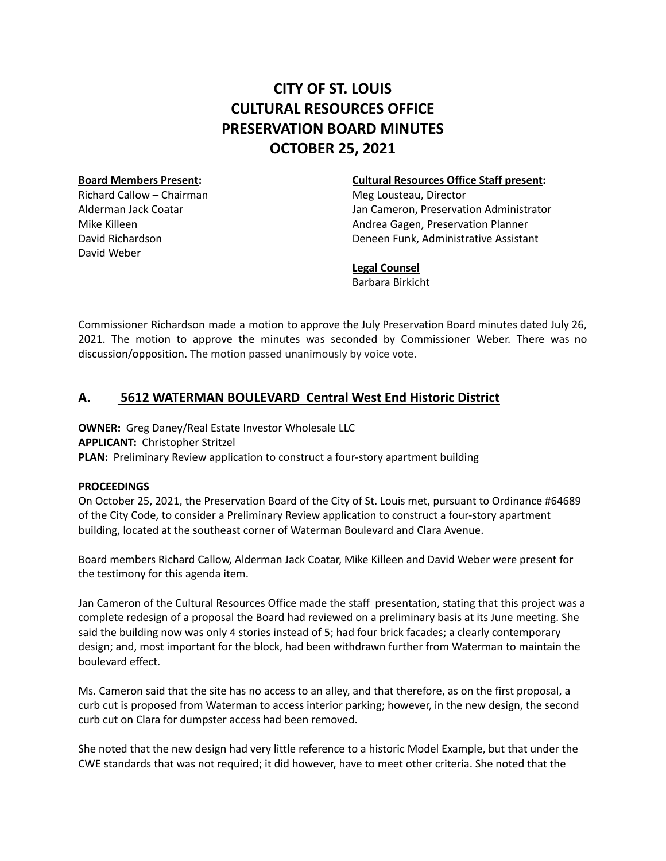# **CITY OF ST. LOUIS CULTURAL RESOURCES OFFICE PRESERVATION BOARD MINUTES OCTOBER 25, 2021**

Richard Callow – Chairman Meg Lousteau, Director David Weber

## **Board Members Present: Cultural Resources Office Staff present:**

Alderman Jack Coatar Jan Cameron, Preservation Administrator Mike Killeen Andrea Gagen, Preservation Planner David Richardson Deneen Funk, Administrative Assistant

## **Legal Counsel**

Barbara Birkicht

Commissioner Richardson made a motion to approve the July Preservation Board minutes dated July 26, 2021. The motion to approve the minutes was seconded by Commissioner Weber. There was no discussion/opposition. The motion passed unanimously by voice vote.

## **A. 5612 WATERMAN BOULEVARD Central West End Historic District**

**OWNER:** Greg Daney/Real Estate Investor Wholesale LLC **APPLICANT:** Christopher Stritzel **PLAN:** Preliminary Review application to construct a four-story apartment building

## **PROCEEDINGS**

On October 25, 2021, the Preservation Board of the City of St. Louis met, pursuant to Ordinance #64689 of the City Code, to consider a Preliminary Review application to construct a four-story apartment building, located at the southeast corner of Waterman Boulevard and Clara Avenue.

Board members Richard Callow, Alderman Jack Coatar, Mike Killeen and David Weber were present for the testimony for this agenda item.

Jan Cameron of the Cultural Resources Office made the staff presentation, stating that this project was a complete redesign of a proposal the Board had reviewed on a preliminary basis at its June meeting. She said the building now was only 4 stories instead of 5; had four brick facades; a clearly contemporary design; and, most important for the block, had been withdrawn further from Waterman to maintain the boulevard effect.

Ms. Cameron said that the site has no access to an alley, and that therefore, as on the first proposal, a curb cut is proposed from Waterman to access interior parking; however, in the new design, the second curb cut on Clara for dumpster access had been removed.

She noted that the new design had very little reference to a historic Model Example, but that under the CWE standards that was not required; it did however, have to meet other criteria. She noted that the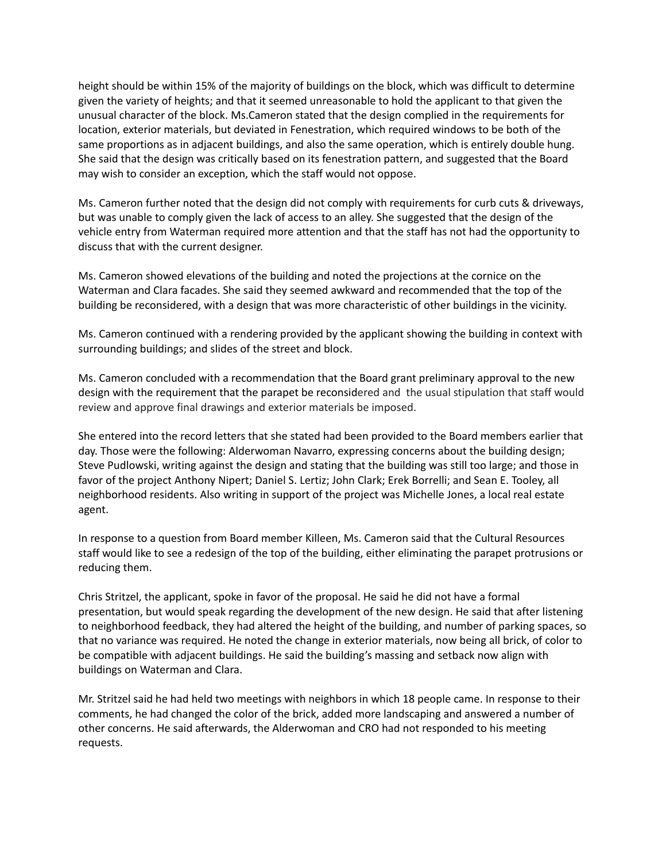height should be within 15% of the majority of buildings on the block, which was difficult to determine given the variety of heights; and that it seemed unreasonable to hold the applicant to that given the unusual character of the block. Ms.Cameron stated that the design complied in the requirements for location, exterior materials, but deviated in Fenestration, which required windows to be both of the same proportions as in adjacent buildings, and also the same operation, which is entirely double hung. She said that the design was critically based on its fenestration pattern, and suggested that the Board may wish to consider an exception, which the staff would not oppose.

Ms. Cameron further noted that the design did not comply with requirements for curb cuts & driveways, but was unable to comply given the lack of access to an alley. She suggested that the design of the vehicle entry from Waterman required more attention and that the staff has not had the opportunity to discuss that with the current designer.

Ms. Cameron showed elevations of the building and noted the projections at the cornice on the Waterman and Clara facades. She said they seemed awkward and recommended that the top of the building be reconsidered, with a design that was more characteristic of other buildings in the vicinity.

Ms. Cameron continued with a rendering provided by the applicant showing the building in context with surrounding buildings; and slides of the street and block.

Ms. Cameron concluded with a recommendation that the Board grant preliminary approval to the new design with the requirement that the parapet be reconsidered and the usual stipulation that staff would review and approve final drawings and exterior materials be imposed.

She entered into the record letters that she stated had been provided to the Board members earlier that day. Those were the following: Alderwoman Navarro, expressing concerns about the building design; Steve Pudlowski, writing against the design and stating that the building was still too large; and those in favor of the project Anthony Nipert; Daniel S. Lertiz; John Clark; Erek Borrelli; and Sean E. Tooley, all neighborhood residents. Also writing in support of the project was Michelle Jones, a local real estate agent.

In response to a question from Board member Killeen, Ms. Cameron said that the Cultural Resources staff would like to see a redesign of the top of the building, either eliminating the parapet protrusions or reducing them.

Chris Stritzel, the applicant, spoke in favor of the proposal. He said he did not have a formal presentation, but would speak regarding the development of the new design. He said that after listening to neighborhood feedback, they had altered the height of the building, and number of parking spaces, so that no variance was required. He noted the change in exterior materials, now being all brick, of color to be compatible with adjacent buildings. He said the building's massing and setback now align with buildings on Waterman and Clara.

Mr. Stritzel said he had held two meetings with neighbors in which 18 people came. In response to their comments, he had changed the color of the brick, added more landscaping and answered a number of other concerns. He said afterwards, the Alderwoman and CRO had not responded to his meeting requests.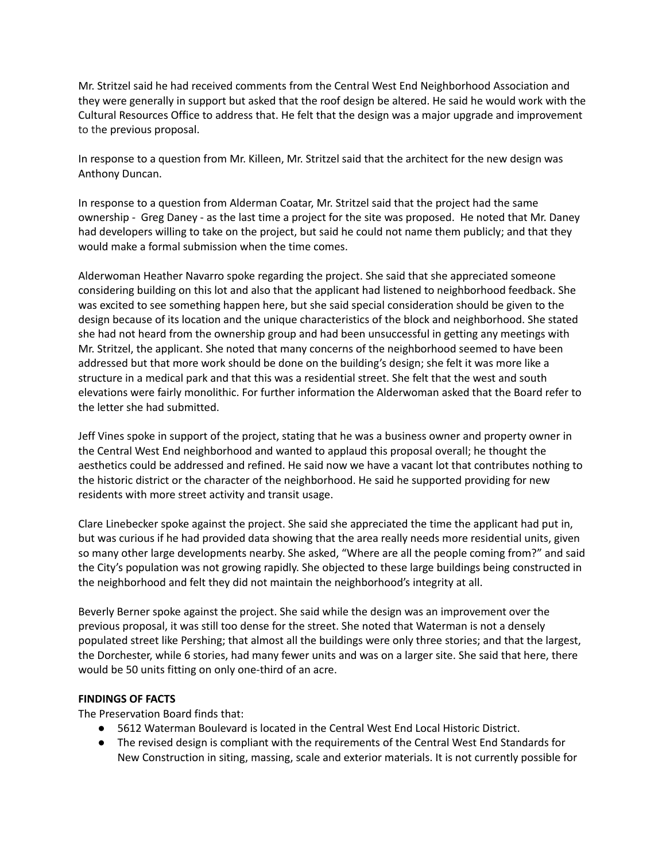Mr. Stritzel said he had received comments from the Central West End Neighborhood Association and they were generally in support but asked that the roof design be altered. He said he would work with the Cultural Resources Office to address that. He felt that the design was a major upgrade and improvement to the previous proposal.

In response to a question from Mr. Killeen, Mr. Stritzel said that the architect for the new design was Anthony Duncan.

In response to a question from Alderman Coatar, Mr. Stritzel said that the project had the same ownership - Greg Daney - as the last time a project for the site was proposed. He noted that Mr. Daney had developers willing to take on the project, but said he could not name them publicly; and that they would make a formal submission when the time comes.

Alderwoman Heather Navarro spoke regarding the project. She said that she appreciated someone considering building on this lot and also that the applicant had listened to neighborhood feedback. She was excited to see something happen here, but she said special consideration should be given to the design because of its location and the unique characteristics of the block and neighborhood. She stated she had not heard from the ownership group and had been unsuccessful in getting any meetings with Mr. Stritzel, the applicant. She noted that many concerns of the neighborhood seemed to have been addressed but that more work should be done on the building's design; she felt it was more like a structure in a medical park and that this was a residential street. She felt that the west and south elevations were fairly monolithic. For further information the Alderwoman asked that the Board refer to the letter she had submitted.

Jeff Vines spoke in support of the project, stating that he was a business owner and property owner in the Central West End neighborhood and wanted to applaud this proposal overall; he thought the aesthetics could be addressed and refined. He said now we have a vacant lot that contributes nothing to the historic district or the character of the neighborhood. He said he supported providing for new residents with more street activity and transit usage.

Clare Linebecker spoke against the project. She said she appreciated the time the applicant had put in, but was curious if he had provided data showing that the area really needs more residential units, given so many other large developments nearby. She asked, "Where are all the people coming from?" and said the City's population was not growing rapidly. She objected to these large buildings being constructed in the neighborhood and felt they did not maintain the neighborhood's integrity at all.

Beverly Berner spoke against the project. She said while the design was an improvement over the previous proposal, it was still too dense for the street. She noted that Waterman is not a densely populated street like Pershing; that almost all the buildings were only three stories; and that the largest, the Dorchester, while 6 stories, had many fewer units and was on a larger site. She said that here, there would be 50 units fitting on only one-third of an acre.

## **FINDINGS OF FACTS**

The Preservation Board finds that:

- 5612 Waterman Boulevard is located in the Central West End Local Historic District.
- The revised design is compliant with the requirements of the Central West End Standards for New Construction in siting, massing, scale and exterior materials. It is not currently possible for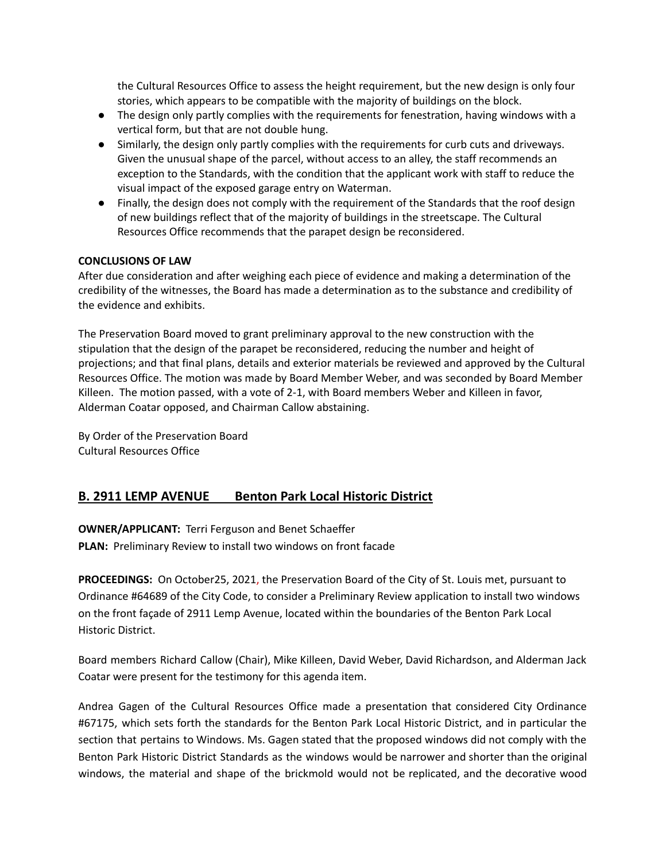the Cultural Resources Office to assess the height requirement, but the new design is only four stories, which appears to be compatible with the majority of buildings on the block.

- The design only partly complies with the requirements for fenestration, having windows with a vertical form, but that are not double hung.
- Similarly, the design only partly complies with the requirements for curb cuts and driveways. Given the unusual shape of the parcel, without access to an alley, the staff recommends an exception to the Standards, with the condition that the applicant work with staff to reduce the visual impact of the exposed garage entry on Waterman.
- Finally, the design does not comply with the requirement of the Standards that the roof design of new buildings reflect that of the majority of buildings in the streetscape. The Cultural Resources Office recommends that the parapet design be reconsidered.

#### **CONCLUSIONS OF LAW**

After due consideration and after weighing each piece of evidence and making a determination of the credibility of the witnesses, the Board has made a determination as to the substance and credibility of the evidence and exhibits.

The Preservation Board moved to grant preliminary approval to the new construction with the stipulation that the design of the parapet be reconsidered, reducing the number and height of projections; and that final plans, details and exterior materials be reviewed and approved by the Cultural Resources Office. The motion was made by Board Member Weber, and was seconded by Board Member Killeen. The motion passed, with a vote of 2-1, with Board members Weber and Killeen in favor, Alderman Coatar opposed, and Chairman Callow abstaining.

By Order of the Preservation Board Cultural Resources Office

## **B. 2911 LEMP AVENUE Benton Park Local Historic District**

**OWNER/APPLICANT:** Terri Ferguson and Benet Schaeffer **PLAN:** Preliminary Review to install two windows on front facade

**PROCEEDINGS:** On October25, 2021, the Preservation Board of the City of St. Louis met, pursuant to Ordinance #64689 of the City Code, to consider a Preliminary Review application to install two windows on the front façade of 2911 Lemp Avenue, located within the boundaries of the Benton Park Local Historic District.

Board members Richard Callow (Chair), Mike Killeen, David Weber, David Richardson, and Alderman Jack Coatar were present for the testimony for this agenda item.

Andrea Gagen of the Cultural Resources Office made a presentation that considered City Ordinance #67175, which sets forth the standards for the Benton Park Local Historic District, and in particular the section that pertains to Windows. Ms. Gagen stated that the proposed windows did not comply with the Benton Park Historic District Standards as the windows would be narrower and shorter than the original windows, the material and shape of the brickmold would not be replicated, and the decorative wood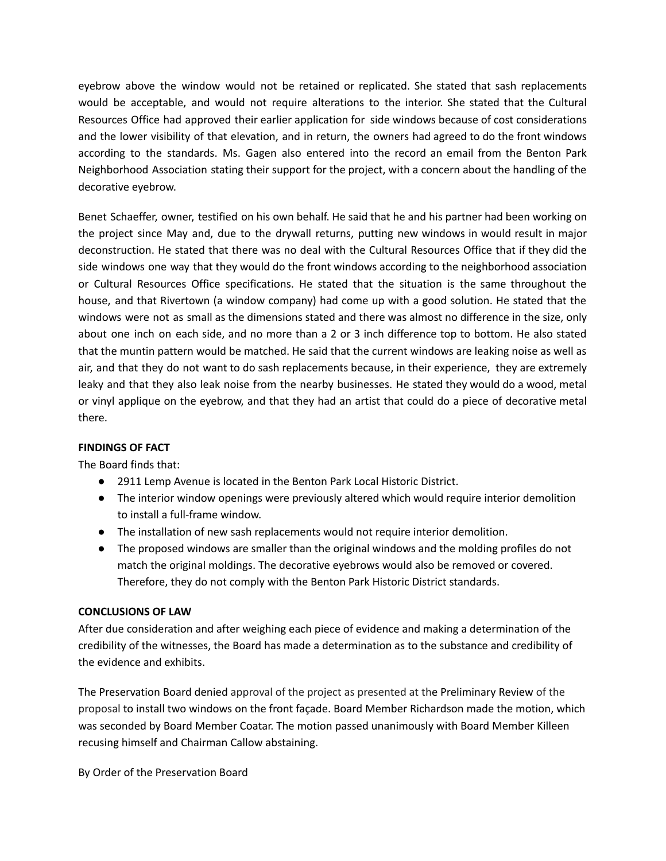eyebrow above the window would not be retained or replicated. She stated that sash replacements would be acceptable, and would not require alterations to the interior. She stated that the Cultural Resources Office had approved their earlier application for side windows because of cost considerations and the lower visibility of that elevation, and in return, the owners had agreed to do the front windows according to the standards. Ms. Gagen also entered into the record an email from the Benton Park Neighborhood Association stating their support for the project, with a concern about the handling of the decorative eyebrow.

Benet Schaeffer, owner, testified on his own behalf. He said that he and his partner had been working on the project since May and, due to the drywall returns, putting new windows in would result in major deconstruction. He stated that there was no deal with the Cultural Resources Office that if they did the side windows one way that they would do the front windows according to the neighborhood association or Cultural Resources Office specifications. He stated that the situation is the same throughout the house, and that Rivertown (a window company) had come up with a good solution. He stated that the windows were not as small as the dimensions stated and there was almost no difference in the size, only about one inch on each side, and no more than a 2 or 3 inch difference top to bottom. He also stated that the muntin pattern would be matched. He said that the current windows are leaking noise as well as air, and that they do not want to do sash replacements because, in their experience, they are extremely leaky and that they also leak noise from the nearby businesses. He stated they would do a wood, metal or vinyl applique on the eyebrow, and that they had an artist that could do a piece of decorative metal there.

## **FINDINGS OF FACT**

The Board finds that:

- 2911 Lemp Avenue is located in the Benton Park Local Historic District.
- The interior window openings were previously altered which would require interior demolition to install a full-frame window.
- The installation of new sash replacements would not require interior demolition.
- The proposed windows are smaller than the original windows and the molding profiles do not match the original moldings. The decorative eyebrows would also be removed or covered. Therefore, they do not comply with the Benton Park Historic District standards.

## **CONCLUSIONS OF LAW**

After due consideration and after weighing each piece of evidence and making a determination of the credibility of the witnesses, the Board has made a determination as to the substance and credibility of the evidence and exhibits.

The Preservation Board denied approval of the project as presented at the Preliminary Review of the proposal to install two windows on the front façade. Board Member Richardson made the motion, which was seconded by Board Member Coatar. The motion passed unanimously with Board Member Killeen recusing himself and Chairman Callow abstaining.

By Order of the Preservation Board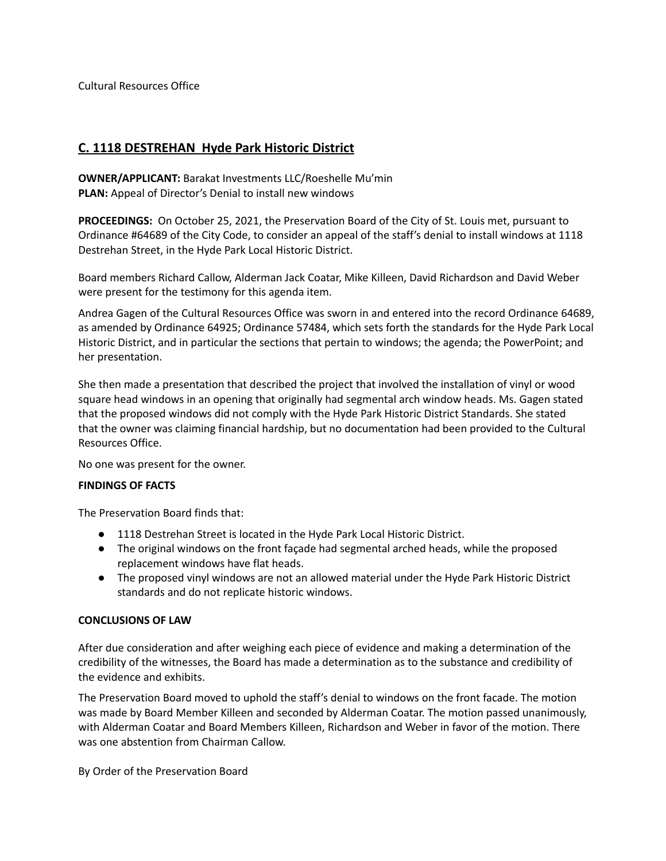Cultural Resources Office

## **C. 1118 DESTREHAN Hyde Park Historic District**

**OWNER/APPLICANT:** Barakat Investments LLC/Roeshelle Mu'min **PLAN:** Appeal of Director's Denial to install new windows

**PROCEEDINGS:** On October 25, 2021, the Preservation Board of the City of St. Louis met, pursuant to Ordinance #64689 of the City Code, to consider an appeal of the staff's denial to install windows at 1118 Destrehan Street, in the Hyde Park Local Historic District.

Board members Richard Callow, Alderman Jack Coatar, Mike Killeen, David Richardson and David Weber were present for the testimony for this agenda item.

Andrea Gagen of the Cultural Resources Office was sworn in and entered into the record Ordinance 64689, as amended by Ordinance 64925; Ordinance 57484, which sets forth the standards for the Hyde Park Local Historic District, and in particular the sections that pertain to windows; the agenda; the PowerPoint; and her presentation.

She then made a presentation that described the project that involved the installation of vinyl or wood square head windows in an opening that originally had segmental arch window heads. Ms. Gagen stated that the proposed windows did not comply with the Hyde Park Historic District Standards. She stated that the owner was claiming financial hardship, but no documentation had been provided to the Cultural Resources Office.

No one was present for the owner.

## **FINDINGS OF FACTS**

The Preservation Board finds that:

- 1118 Destrehan Street is located in the Hyde Park Local Historic District.
- The original windows on the front façade had segmental arched heads, while the proposed replacement windows have flat heads.
- The proposed vinyl windows are not an allowed material under the Hyde Park Historic District standards and do not replicate historic windows.

## **CONCLUSIONS OF LAW**

After due consideration and after weighing each piece of evidence and making a determination of the credibility of the witnesses, the Board has made a determination as to the substance and credibility of the evidence and exhibits.

The Preservation Board moved to uphold the staff's denial to windows on the front facade. The motion was made by Board Member Killeen and seconded by Alderman Coatar. The motion passed unanimously, with Alderman Coatar and Board Members Killeen, Richardson and Weber in favor of the motion. There was one abstention from Chairman Callow.

By Order of the Preservation Board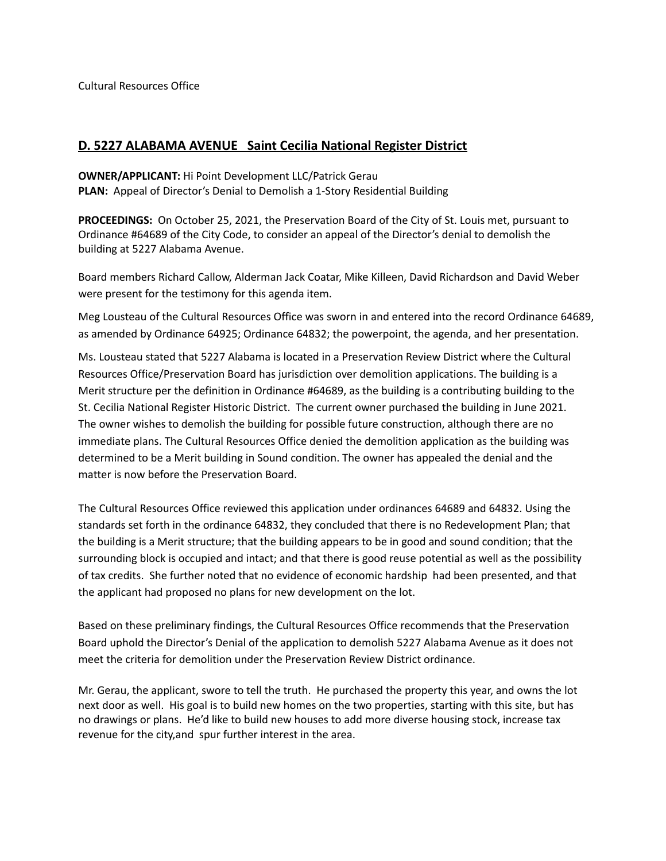Cultural Resources Office

## **D. 5227 ALABAMA AVENUE Saint Cecilia National Register District**

**OWNER/APPLICANT:** Hi Point Development LLC/Patrick Gerau **PLAN:** Appeal of Director's Denial to Demolish a 1-Story Residential Building

**PROCEEDINGS:** On October 25, 2021, the Preservation Board of the City of St. Louis met, pursuant to Ordinance #64689 of the City Code, to consider an appeal of the Director's denial to demolish the building at 5227 Alabama Avenue.

Board members Richard Callow, Alderman Jack Coatar, Mike Killeen, David Richardson and David Weber were present for the testimony for this agenda item.

Meg Lousteau of the Cultural Resources Office was sworn in and entered into the record Ordinance 64689, as amended by Ordinance 64925; Ordinance 64832; the powerpoint, the agenda, and her presentation.

Ms. Lousteau stated that 5227 Alabama is located in a Preservation Review District where the Cultural Resources Office/Preservation Board has jurisdiction over demolition applications. The building is a Merit structure per the definition in Ordinance #64689, as the building is a contributing building to the St. Cecilia National Register Historic District. The current owner purchased the building in June 2021. The owner wishes to demolish the building for possible future construction, although there are no immediate plans. The Cultural Resources Office denied the demolition application as the building was determined to be a Merit building in Sound condition. The owner has appealed the denial and the matter is now before the Preservation Board.

The Cultural Resources Office reviewed this application under ordinances 64689 and 64832. Using the standards set forth in the ordinance 64832, they concluded that there is no Redevelopment Plan; that the building is a Merit structure; that the building appears to be in good and sound condition; that the surrounding block is occupied and intact; and that there is good reuse potential as well as the possibility of tax credits. She further noted that no evidence of economic hardship had been presented, and that the applicant had proposed no plans for new development on the lot.

Based on these preliminary findings, the Cultural Resources Office recommends that the Preservation Board uphold the Director's Denial of the application to demolish 5227 Alabama Avenue as it does not meet the criteria for demolition under the Preservation Review District ordinance.

Mr. Gerau, the applicant, swore to tell the truth. He purchased the property this year, and owns the lot next door as well. His goal is to build new homes on the two properties, starting with this site, but has no drawings or plans. He'd like to build new houses to add more diverse housing stock, increase tax revenue for the city,and spur further interest in the area.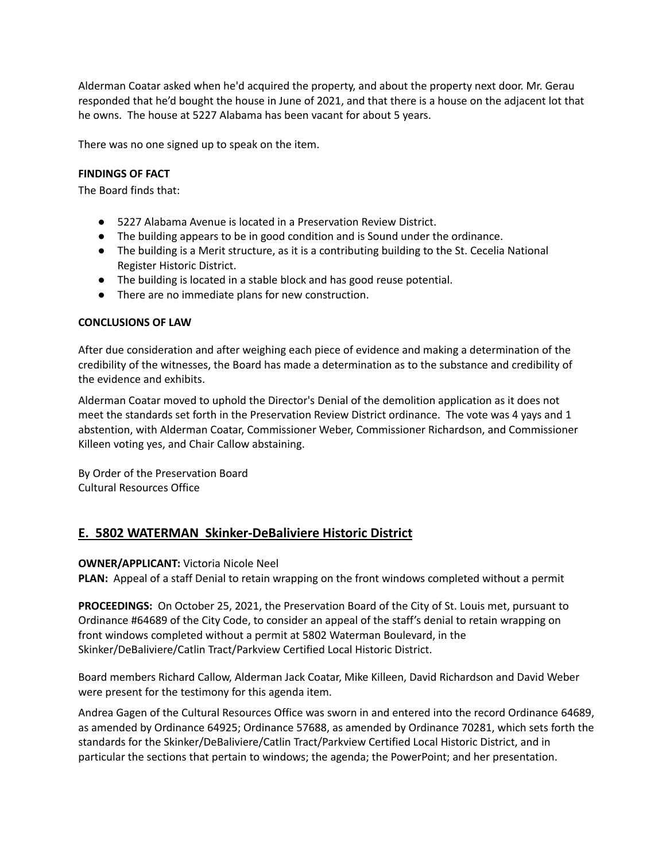Alderman Coatar asked when he'd acquired the property, and about the property next door. Mr. Gerau responded that he'd bought the house in June of 2021, and that there is a house on the adjacent lot that he owns. The house at 5227 Alabama has been vacant for about 5 years.

There was no one signed up to speak on the item.

#### **FINDINGS OF FACT**

The Board finds that:

- 5227 Alabama Avenue is located in a Preservation Review District.
- The building appears to be in good condition and is Sound under the ordinance.
- The building is a Merit structure, as it is a contributing building to the St. Cecelia National Register Historic District.
- The building is located in a stable block and has good reuse potential.
- There are no immediate plans for new construction.

#### **CONCLUSIONS OF LAW**

After due consideration and after weighing each piece of evidence and making a determination of the credibility of the witnesses, the Board has made a determination as to the substance and credibility of the evidence and exhibits.

Alderman Coatar moved to uphold the Director's Denial of the demolition application as it does not meet the standards set forth in the Preservation Review District ordinance. The vote was 4 yays and 1 abstention, with Alderman Coatar, Commissioner Weber, Commissioner Richardson, and Commissioner Killeen voting yes, and Chair Callow abstaining.

By Order of the Preservation Board Cultural Resources Office

## **E. 5802 WATERMAN Skinker-DeBaliviere Historic District**

#### **OWNER/APPLICANT:** Victoria Nicole Neel

**PLAN:** Appeal of a staff Denial to retain wrapping on the front windows completed without a permit

**PROCEEDINGS:** On October 25, 2021, the Preservation Board of the City of St. Louis met, pursuant to Ordinance #64689 of the City Code, to consider an appeal of the staff's denial to retain wrapping on front windows completed without a permit at 5802 Waterman Boulevard, in the Skinker/DeBaliviere/Catlin Tract/Parkview Certified Local Historic District.

Board members Richard Callow, Alderman Jack Coatar, Mike Killeen, David Richardson and David Weber were present for the testimony for this agenda item.

Andrea Gagen of the Cultural Resources Office was sworn in and entered into the record Ordinance 64689, as amended by Ordinance 64925; Ordinance 57688, as amended by Ordinance 70281, which sets forth the standards for the Skinker/DeBaliviere/Catlin Tract/Parkview Certified Local Historic District, and in particular the sections that pertain to windows; the agenda; the PowerPoint; and her presentation.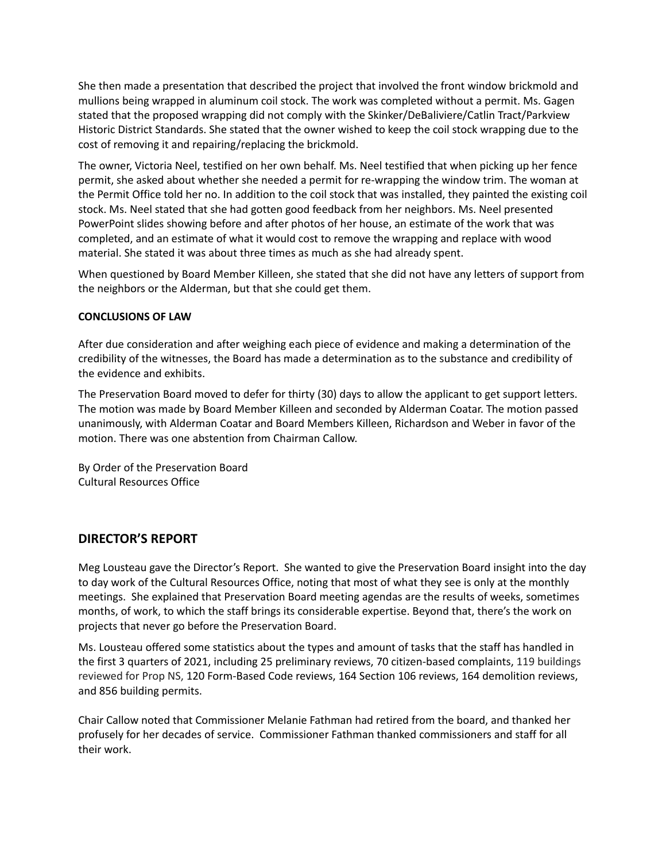She then made a presentation that described the project that involved the front window brickmold and mullions being wrapped in aluminum coil stock. The work was completed without a permit. Ms. Gagen stated that the proposed wrapping did not comply with the Skinker/DeBaliviere/Catlin Tract/Parkview Historic District Standards. She stated that the owner wished to keep the coil stock wrapping due to the cost of removing it and repairing/replacing the brickmold.

The owner, Victoria Neel, testified on her own behalf. Ms. Neel testified that when picking up her fence permit, she asked about whether she needed a permit for re-wrapping the window trim. The woman at the Permit Office told her no. In addition to the coil stock that was installed, they painted the existing coil stock. Ms. Neel stated that she had gotten good feedback from her neighbors. Ms. Neel presented PowerPoint slides showing before and after photos of her house, an estimate of the work that was completed, and an estimate of what it would cost to remove the wrapping and replace with wood material. She stated it was about three times as much as she had already spent.

When questioned by Board Member Killeen, she stated that she did not have any letters of support from the neighbors or the Alderman, but that she could get them.

## **CONCLUSIONS OF LAW**

After due consideration and after weighing each piece of evidence and making a determination of the credibility of the witnesses, the Board has made a determination as to the substance and credibility of the evidence and exhibits.

The Preservation Board moved to defer for thirty (30) days to allow the applicant to get support letters. The motion was made by Board Member Killeen and seconded by Alderman Coatar. The motion passed unanimously, with Alderman Coatar and Board Members Killeen, Richardson and Weber in favor of the motion. There was one abstention from Chairman Callow.

By Order of the Preservation Board Cultural Resources Office

## **DIRECTOR'S REPORT**

Meg Lousteau gave the Director's Report. She wanted to give the Preservation Board insight into the day to day work of the Cultural Resources Office, noting that most of what they see is only at the monthly meetings. She explained that Preservation Board meeting agendas are the results of weeks, sometimes months, of work, to which the staff brings its considerable expertise. Beyond that, there's the work on projects that never go before the Preservation Board.

Ms. Lousteau offered some statistics about the types and amount of tasks that the staff has handled in the first 3 quarters of 2021, including 25 preliminary reviews, 70 citizen-based complaints, 119 buildings reviewed for Prop NS, 120 Form-Based Code reviews, 164 Section 106 reviews, 164 demolition reviews, and 856 building permits.

Chair Callow noted that Commissioner Melanie Fathman had retired from the board, and thanked her profusely for her decades of service. Commissioner Fathman thanked commissioners and staff for all their work.